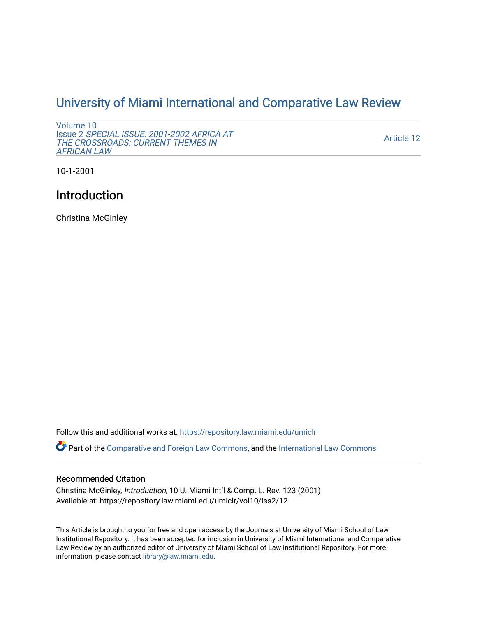## [University of Miami International and Comparative Law Review](https://repository.law.miami.edu/umiclr)

```
Volume 10 
Issue 2 SPECIAL ISSUE: 2001-2002 AFRICA AT 
THE CROSSROADS: CURRENT THEMES IN 
AFRICAN LAW
```
[Article 12](https://repository.law.miami.edu/umiclr/vol10/iss2/12) 

10-1-2001

## Introduction

Christina McGinley

Follow this and additional works at: [https://repository.law.miami.edu/umiclr](https://repository.law.miami.edu/umiclr?utm_source=repository.law.miami.edu%2Fumiclr%2Fvol10%2Fiss2%2F12&utm_medium=PDF&utm_campaign=PDFCoverPages)

Part of the [Comparative and Foreign Law Commons,](http://network.bepress.com/hgg/discipline/836?utm_source=repository.law.miami.edu%2Fumiclr%2Fvol10%2Fiss2%2F12&utm_medium=PDF&utm_campaign=PDFCoverPages) and the [International Law Commons](http://network.bepress.com/hgg/discipline/609?utm_source=repository.law.miami.edu%2Fumiclr%2Fvol10%2Fiss2%2F12&utm_medium=PDF&utm_campaign=PDFCoverPages)

## Recommended Citation

Christina McGinley, Introduction, 10 U. Miami Int'l & Comp. L. Rev. 123 (2001) Available at: https://repository.law.miami.edu/umiclr/vol10/iss2/12

This Article is brought to you for free and open access by the Journals at University of Miami School of Law Institutional Repository. It has been accepted for inclusion in University of Miami International and Comparative Law Review by an authorized editor of University of Miami School of Law Institutional Repository. For more information, please contact [library@law.miami.edu](mailto:library@law.miami.edu).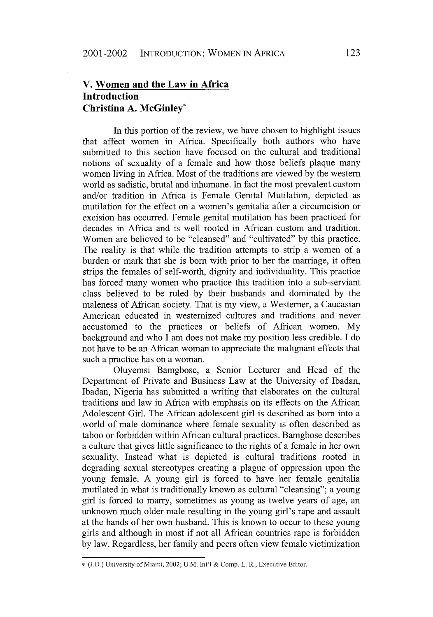## **V. Women and the Law in Africa Introduction Christina A. McGinley\***

In this portion of the review, we have chosen to highlight issues that affect women in Africa. Specifically both authors who have submitted to this section have focused on the cultural and traditional notions of sexuality of a female and how those beliefs plaque many women living in Africa. Most of the traditions are viewed **by** the western world as sadistic, brutal and inhumane. In fact the most prevalent custom and/or tradition in Africa is Female Genital Mutilation, depicted as mutilation for the effect on a women's genitalia after a circumcision or excision has occurred. Female genital mutilation has been practiced for decades in Africa and is well rooted in African custom and tradition. Women are believed to be "cleansed" and "cultivated" **by** this practice. The reality is that while the tradition attempts to strip a women of a burden or mark that she is born with prior to her the marriage, it often strips the females of self-worth, dignity and individuality. This practice has forced many women who practice this tradition into a sub-serviant class believed to be ruled **by** their husbands and dominated **by** the maleness of African society. That is my view, a Westerner, a Caucasian American educated in westernized cultures and traditions and never accustomed to the practices or beliefs of African women. **My** background and who **I** am does not make my position less credible. **I** do not have to be an African woman to appreciate the malignant effects that such a practice has on a woman.

Oluyemsi Bamgbose, a Senior Lecturer and Head of the Department of Private and Business Law at the University of Ibadan, Ibadan, Nigeria has submitted a writing that elaborates on the cultural traditions and law in Africa with emphasis on its effects on the African Adolescent Girl. The African adolescent girl is described as born into a world of male dominance where female sexuality is often described as taboo or forbidden within African cultural practices. Bamgbose describes a culture that gives little significance to the rights of a female in her own sexuality. Instead what is depicted is cultural traditions rooted in degrading sexual stereotypes creating a plague of oppression upon the young female. **A** young girl is forced to have her female genitalia mutilated in what is traditionally known as cultural "cleansing"; a young girl is forced to marry, sometimes as young as twelve years of age, an unknown much older male resulting in the young girl's rape and assault at the hands of her own husband. This is known to occur to these young girls and although in most if not all African countries rape is forbidden **by** law. Regardless, her family and peers often view female victimization

**<sup>\*</sup>** (J.D.) University of Miami, 2002; U.M. Int'l **&** Comp. L. R., Executive Editor.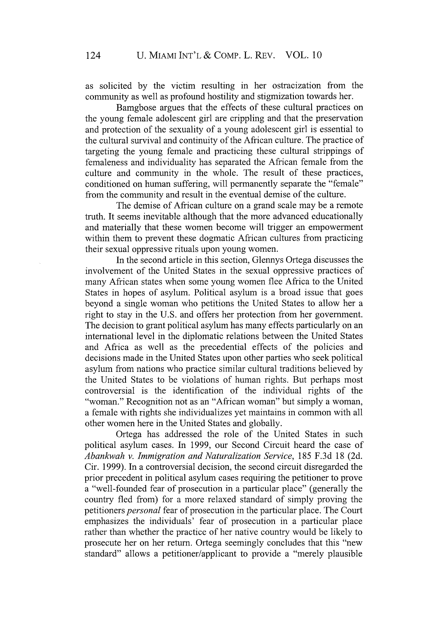as solicited by the victim resulting in her ostracization from the community as well as profound hostility and stigmization towards her.

Bamgbose argues that the effects of these cultural practices on the young female adolescent girl are crippling and that the preservation and protection of the sexuality of a young adolescent girl is essential to the cultural survival and continuity of the African culture. The practice of targeting the young female and practicing these cultural strippings of femaleness and individuality has separated the African female from the culture and community in the whole. The result of these practices, conditioned on human suffering, will permanently separate the "female" from the community and result in the eventual demise of the culture.

The demise of African culture on a grand scale may be a remote truth. It seems inevitable although that the more advanced educationally and materially that these women become will trigger an empowerment within them to prevent these dogmatic African cultures from practicing their sexual oppressive rituals upon young women.

In the second article in this section, Glennys Ortega discusses the involvement of the United States in the sexual oppressive practices of many African states when some young women flee Africa to the United States in hopes of asylum. Political asylum is a broad issue that goes beyond a single woman who petitions the United States to allow her a right to stay in the U.S. and offers her protection from her government. The decision to grant political asylum has many effects particularly on an international level in the diplomatic relations between the United States and Africa as well as the precedential effects of the policies and decisions made in the United States upon other parties who seek political asylum from nations who practice similar cultural traditions believed by the United States to be violations of human rights. But perhaps most controversial is the identification of the individual rights of the "woman." Recognition not as an "African woman" but simply a woman, a female with rights she individualizes yet maintains in common with all other women here in the United States and globally.

Ortega has addressed the role of the United States in such political asylum cases. In 1999, our Second Circuit heard the case of *Abankwah v. Immigration and Naturalization Service,* 185 F.3d 18 (2d. Cir. 1999). In a controversial decision, the second circuit disregarded the prior precedent in political asylum cases requiring the petitioner to prove a "well-founded fear of prosecution in a particular place" (generally the country fled from) for a more relaxed standard of simply proving the petitioners *personal* fear of prosecution in the particular place. The Court emphasizes the individuals' fear of prosecution in a particular place rather than whether the practice of her native country would be likely to prosecute her on her return. Ortega seemingly concludes that this "new standard" allows a petitioner/applicant to provide a "merely plausible